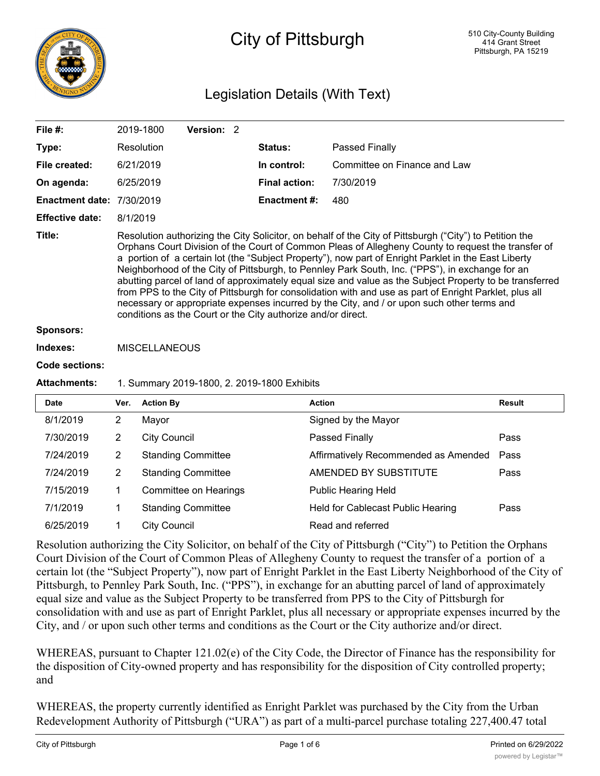

# City of Pittsburgh

## Legislation Details (With Text)

| File $#$ :                       | 2019-1800                                                                                                                                                                                                                                                                                                                                                                                                                                                                                                                                                                                                                                                                                                                                                                                                   | Version: 2 |  |                                             |                              |  |  |
|----------------------------------|-------------------------------------------------------------------------------------------------------------------------------------------------------------------------------------------------------------------------------------------------------------------------------------------------------------------------------------------------------------------------------------------------------------------------------------------------------------------------------------------------------------------------------------------------------------------------------------------------------------------------------------------------------------------------------------------------------------------------------------------------------------------------------------------------------------|------------|--|---------------------------------------------|------------------------------|--|--|
| Type:                            | Resolution                                                                                                                                                                                                                                                                                                                                                                                                                                                                                                                                                                                                                                                                                                                                                                                                  |            |  | <b>Status:</b>                              | Passed Finally               |  |  |
| File created:                    | 6/21/2019                                                                                                                                                                                                                                                                                                                                                                                                                                                                                                                                                                                                                                                                                                                                                                                                   |            |  | In control:                                 | Committee on Finance and Law |  |  |
| On agenda:                       | 6/25/2019                                                                                                                                                                                                                                                                                                                                                                                                                                                                                                                                                                                                                                                                                                                                                                                                   |            |  | <b>Final action:</b>                        | 7/30/2019                    |  |  |
| <b>Enactment date: 7/30/2019</b> |                                                                                                                                                                                                                                                                                                                                                                                                                                                                                                                                                                                                                                                                                                                                                                                                             |            |  | <b>Enactment #:</b>                         | 480                          |  |  |
| <b>Effective date:</b>           | 8/1/2019                                                                                                                                                                                                                                                                                                                                                                                                                                                                                                                                                                                                                                                                                                                                                                                                    |            |  |                                             |                              |  |  |
| Title:                           | Resolution authorizing the City Solicitor, on behalf of the City of Pittsburgh ("City") to Petition the<br>Orphans Court Division of the Court of Common Pleas of Allegheny County to request the transfer of<br>a portion of a certain lot (the "Subject Property"), now part of Enright Parklet in the East Liberty<br>Neighborhood of the City of Pittsburgh, to Pennley Park South, Inc. ("PPS"), in exchange for an<br>abutting parcel of land of approximately equal size and value as the Subject Property to be transferred<br>from PPS to the City of Pittsburgh for consolidation with and use as part of Enright Parklet, plus all<br>necessary or appropriate expenses incurred by the City, and / or upon such other terms and<br>conditions as the Court or the City authorize and/or direct. |            |  |                                             |                              |  |  |
| <b>Sponsors:</b>                 |                                                                                                                                                                                                                                                                                                                                                                                                                                                                                                                                                                                                                                                                                                                                                                                                             |            |  |                                             |                              |  |  |
| Indexes:                         | <b>MISCELLANEOUS</b>                                                                                                                                                                                                                                                                                                                                                                                                                                                                                                                                                                                                                                                                                                                                                                                        |            |  |                                             |                              |  |  |
| <b>Code sections:</b>            |                                                                                                                                                                                                                                                                                                                                                                                                                                                                                                                                                                                                                                                                                                                                                                                                             |            |  |                                             |                              |  |  |
| <b>Attachments:</b>              |                                                                                                                                                                                                                                                                                                                                                                                                                                                                                                                                                                                                                                                                                                                                                                                                             |            |  | 1. Summary 2019-1800, 2. 2019-1800 Exhibits |                              |  |  |

| <b>Date</b> | Ver. | <b>Action By</b>          | <b>Action</b>                        | Result |
|-------------|------|---------------------------|--------------------------------------|--------|
| 8/1/2019    | 2    | Mayor                     | Signed by the Mayor                  |        |
| 7/30/2019   | 2    | <b>City Council</b>       | Passed Finally                       | Pass   |
| 7/24/2019   | 2    | <b>Standing Committee</b> | Affirmatively Recommended as Amended | Pass   |
| 7/24/2019   | 2    | <b>Standing Committee</b> | AMENDED BY SUBSTITUTE                | Pass   |
| 7/15/2019   |      | Committee on Hearings     | <b>Public Hearing Held</b>           |        |
| 7/1/2019    |      | <b>Standing Committee</b> | Held for Cablecast Public Hearing    | Pass   |
| 6/25/2019   | 1    | <b>City Council</b>       | Read and referred                    |        |

Resolution authorizing the City Solicitor, on behalf of the City of Pittsburgh ("City") to Petition the Orphans Court Division of the Court of Common Pleas of Allegheny County to request the transfer of a portion of a certain lot (the "Subject Property"), now part of Enright Parklet in the East Liberty Neighborhood of the City of Pittsburgh, to Pennley Park South, Inc. ("PPS"), in exchange for an abutting parcel of land of approximately equal size and value as the Subject Property to be transferred from PPS to the City of Pittsburgh for consolidation with and use as part of Enright Parklet, plus all necessary or appropriate expenses incurred by the City, and / or upon such other terms and conditions as the Court or the City authorize and/or direct.

WHEREAS, pursuant to Chapter 121.02(e) of the City Code, the Director of Finance has the responsibility for the disposition of City-owned property and has responsibility for the disposition of City controlled property; and

WHEREAS, the property currently identified as Enright Parklet was purchased by the City from the Urban Redevelopment Authority of Pittsburgh ("URA") as part of a multi-parcel purchase totaling 227,400.47 total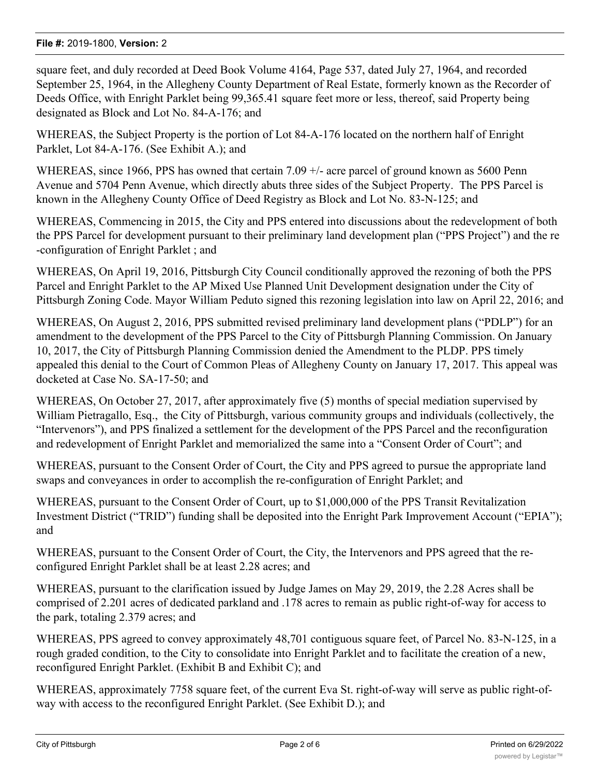square feet, and duly recorded at Deed Book Volume 4164, Page 537, dated July 27, 1964, and recorded September 25, 1964, in the Allegheny County Department of Real Estate, formerly known as the Recorder of Deeds Office, with Enright Parklet being 99,365.41 square feet more or less, thereof, said Property being designated as Block and Lot No. 84-A-176; and

WHEREAS, the Subject Property is the portion of Lot 84-A-176 located on the northern half of Enright Parklet, Lot 84-A-176. (See Exhibit A.); and

WHEREAS, since 1966, PPS has owned that certain 7.09  $+/-$  acre parcel of ground known as 5600 Penn Avenue and 5704 Penn Avenue, which directly abuts three sides of the Subject Property. The PPS Parcel is known in the Allegheny County Office of Deed Registry as Block and Lot No. 83-N-125; and

WHEREAS, Commencing in 2015, the City and PPS entered into discussions about the redevelopment of both the PPS Parcel for development pursuant to their preliminary land development plan ("PPS Project") and the re -configuration of Enright Parklet ; and

WHEREAS, On April 19, 2016, Pittsburgh City Council conditionally approved the rezoning of both the PPS Parcel and Enright Parklet to the AP Mixed Use Planned Unit Development designation under the City of Pittsburgh Zoning Code. Mayor William Peduto signed this rezoning legislation into law on April 22, 2016; and

WHEREAS, On August 2, 2016, PPS submitted revised preliminary land development plans ("PDLP") for an amendment to the development of the PPS Parcel to the City of Pittsburgh Planning Commission. On January 10, 2017, the City of Pittsburgh Planning Commission denied the Amendment to the PLDP. PPS timely appealed this denial to the Court of Common Pleas of Allegheny County on January 17, 2017. This appeal was docketed at Case No. SA-17-50; and

WHEREAS, On October 27, 2017, after approximately five (5) months of special mediation supervised by William Pietragallo, Esq., the City of Pittsburgh, various community groups and individuals (collectively, the "Intervenors"), and PPS finalized a settlement for the development of the PPS Parcel and the reconfiguration and redevelopment of Enright Parklet and memorialized the same into a "Consent Order of Court"; and

WHEREAS, pursuant to the Consent Order of Court, the City and PPS agreed to pursue the appropriate land swaps and conveyances in order to accomplish the re-configuration of Enright Parklet; and

WHEREAS, pursuant to the Consent Order of Court, up to \$1,000,000 of the PPS Transit Revitalization Investment District ("TRID") funding shall be deposited into the Enright Park Improvement Account ("EPIA"); and

WHEREAS, pursuant to the Consent Order of Court, the City, the Intervenors and PPS agreed that the reconfigured Enright Parklet shall be at least 2.28 acres; and

WHEREAS, pursuant to the clarification issued by Judge James on May 29, 2019, the 2.28 Acres shall be comprised of 2.201 acres of dedicated parkland and .178 acres to remain as public right-of-way for access to the park, totaling 2.379 acres; and

WHEREAS, PPS agreed to convey approximately 48,701 contiguous square feet, of Parcel No. 83-N-125, in a rough graded condition, to the City to consolidate into Enright Parklet and to facilitate the creation of a new, reconfigured Enright Parklet. (Exhibit B and Exhibit C); and

WHEREAS, approximately 7758 square feet, of the current Eva St. right-of-way will serve as public right-ofway with access to the reconfigured Enright Parklet. (See Exhibit D.); and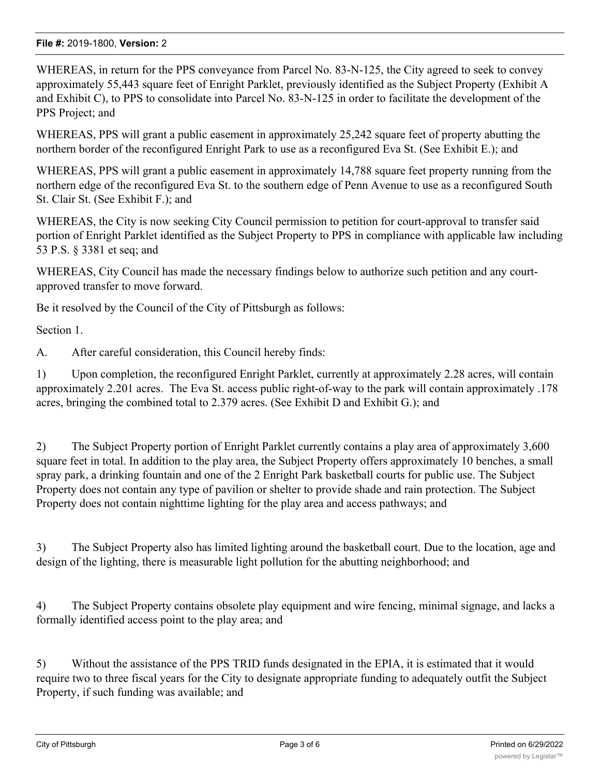WHEREAS, in return for the PPS conveyance from Parcel No. 83-N-125, the City agreed to seek to convey approximately 55,443 square feet of Enright Parklet, previously identified as the Subject Property (Exhibit A and Exhibit C), to PPS to consolidate into Parcel No. 83-N-125 in order to facilitate the development of the PPS Project; and

WHEREAS, PPS will grant a public easement in approximately 25,242 square feet of property abutting the northern border of the reconfigured Enright Park to use as a reconfigured Eva St. (See Exhibit E.); and

WHEREAS, PPS will grant a public easement in approximately 14,788 square feet property running from the northern edge of the reconfigured Eva St. to the southern edge of Penn Avenue to use as a reconfigured South St. Clair St. (See Exhibit F.); and

WHEREAS, the City is now seeking City Council permission to petition for court-approval to transfer said portion of Enright Parklet identified as the Subject Property to PPS in compliance with applicable law including 53 P.S. § 3381 et seq; and

WHEREAS, City Council has made the necessary findings below to authorize such petition and any courtapproved transfer to move forward.

Be it resolved by the Council of the City of Pittsburgh as follows:

Section 1.

A. After careful consideration, this Council hereby finds:

1) Upon completion, the reconfigured Enright Parklet, currently at approximately 2.28 acres, will contain approximately 2.201 acres. The Eva St. access public right-of-way to the park will contain approximately .178 acres, bringing the combined total to 2.379 acres. (See Exhibit D and Exhibit G.); and

2) The Subject Property portion of Enright Parklet currently contains a play area of approximately 3,600 square feet in total. In addition to the play area, the Subject Property offers approximately 10 benches, a small spray park, a drinking fountain and one of the 2 Enright Park basketball courts for public use. The Subject Property does not contain any type of pavilion or shelter to provide shade and rain protection. The Subject Property does not contain nighttime lighting for the play area and access pathways; and

3) The Subject Property also has limited lighting around the basketball court. Due to the location, age and design of the lighting, there is measurable light pollution for the abutting neighborhood; and

4) The Subject Property contains obsolete play equipment and wire fencing, minimal signage, and lacks a formally identified access point to the play area; and

5) Without the assistance of the PPS TRID funds designated in the EPIA, it is estimated that it would require two to three fiscal years for the City to designate appropriate funding to adequately outfit the Subject Property, if such funding was available; and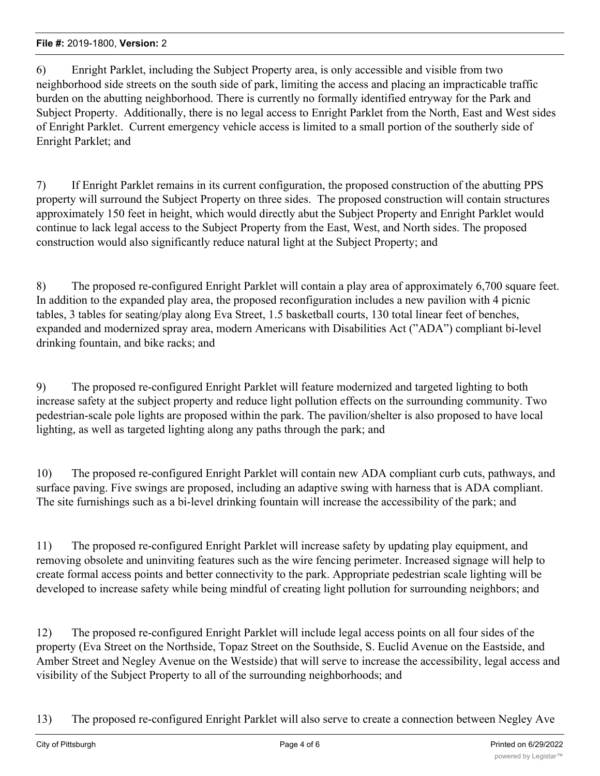6) Enright Parklet, including the Subject Property area, is only accessible and visible from two neighborhood side streets on the south side of park, limiting the access and placing an impracticable traffic burden on the abutting neighborhood. There is currently no formally identified entryway for the Park and Subject Property. Additionally, there is no legal access to Enright Parklet from the North, East and West sides of Enright Parklet. Current emergency vehicle access is limited to a small portion of the southerly side of Enright Parklet; and

7) If Enright Parklet remains in its current configuration, the proposed construction of the abutting PPS property will surround the Subject Property on three sides. The proposed construction will contain structures approximately 150 feet in height, which would directly abut the Subject Property and Enright Parklet would continue to lack legal access to the Subject Property from the East, West, and North sides. The proposed construction would also significantly reduce natural light at the Subject Property; and

8) The proposed re-configured Enright Parklet will contain a play area of approximately 6,700 square feet. In addition to the expanded play area, the proposed reconfiguration includes a new pavilion with 4 picnic tables, 3 tables for seating/play along Eva Street, 1.5 basketball courts, 130 total linear feet of benches, expanded and modernized spray area, modern Americans with Disabilities Act ("ADA") compliant bi-level drinking fountain, and bike racks; and

9) The proposed re-configured Enright Parklet will feature modernized and targeted lighting to both increase safety at the subject property and reduce light pollution effects on the surrounding community. Two pedestrian-scale pole lights are proposed within the park. The pavilion/shelter is also proposed to have local lighting, as well as targeted lighting along any paths through the park; and

10) The proposed re-configured Enright Parklet will contain new ADA compliant curb cuts, pathways, and surface paving. Five swings are proposed, including an adaptive swing with harness that is ADA compliant. The site furnishings such as a bi-level drinking fountain will increase the accessibility of the park; and

11) The proposed re-configured Enright Parklet will increase safety by updating play equipment, and removing obsolete and uninviting features such as the wire fencing perimeter. Increased signage will help to create formal access points and better connectivity to the park. Appropriate pedestrian scale lighting will be developed to increase safety while being mindful of creating light pollution for surrounding neighbors; and

12) The proposed re-configured Enright Parklet will include legal access points on all four sides of the property (Eva Street on the Northside, Topaz Street on the Southside, S. Euclid Avenue on the Eastside, and Amber Street and Negley Avenue on the Westside) that will serve to increase the accessibility, legal access and visibility of the Subject Property to all of the surrounding neighborhoods; and

13) The proposed re-configured Enright Parklet will also serve to create a connection between Negley Ave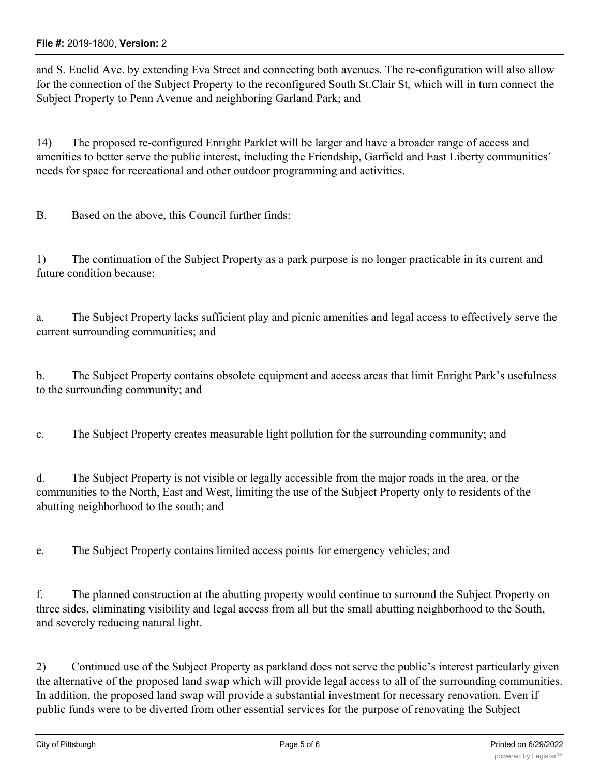and S. Euclid Ave. by extending Eva Street and connecting both avenues. The re-configuration will also allow for the connection of the Subject Property to the reconfigured South St.Clair St, which will in turn connect the Subject Property to Penn Avenue and neighboring Garland Park; and

14) The proposed re-configured Enright Parklet will be larger and have a broader range of access and amenities to better serve the public interest, including the Friendship, Garfield and East Liberty communities' needs for space for recreational and other outdoor programming and activities.

B. Based on the above, this Council further finds:

1) The continuation of the Subject Property as a park purpose is no longer practicable in its current and future condition because;

a. The Subject Property lacks sufficient play and picnic amenities and legal access to effectively serve the current surrounding communities; and

b. The Subject Property contains obsolete equipment and access areas that limit Enright Park's usefulness to the surrounding community; and

c. The Subject Property creates measurable light pollution for the surrounding community; and

d. The Subject Property is not visible or legally accessible from the major roads in the area, or the communities to the North, East and West, limiting the use of the Subject Property only to residents of the abutting neighborhood to the south; and

e. The Subject Property contains limited access points for emergency vehicles; and

f. The planned construction at the abutting property would continue to surround the Subject Property on three sides, eliminating visibility and legal access from all but the small abutting neighborhood to the South, and severely reducing natural light.

2) Continued use of the Subject Property as parkland does not serve the public's interest particularly given the alternative of the proposed land swap which will provide legal access to all of the surrounding communities. In addition, the proposed land swap will provide a substantial investment for necessary renovation. Even if public funds were to be diverted from other essential services for the purpose of renovating the Subject